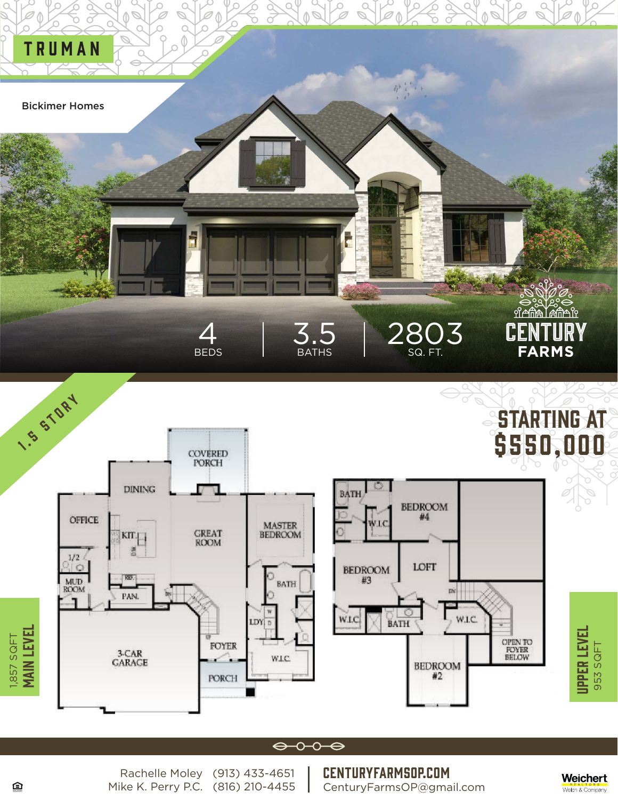



### $\leftrightarrow$  0-0-0

Rachelle Moley (913) 433-4651 Mike K. Perry P.C. (816) 210-4455 CenturyFarmsOP.com CenturyFarmsOP@gmail.com



鱼